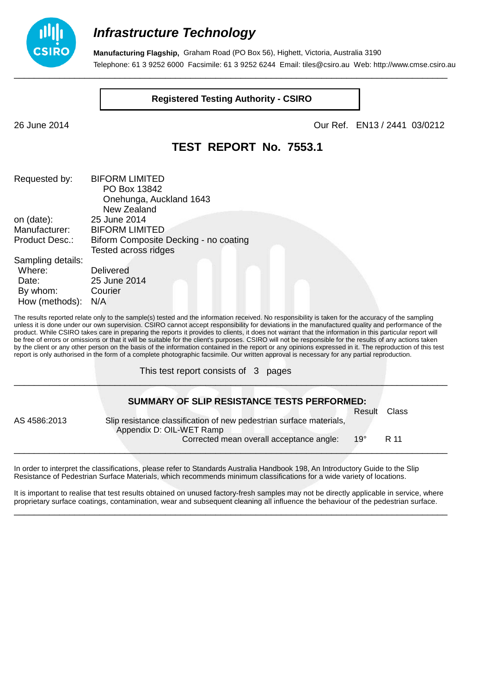

**Manufacturing Flagship,** Graham Road (PO Box 56), Highett, Victoria, Australia 3190 Telephone: 61 3 9252 6000 Facsimile: 61 3 9252 6244 Email: tiles@csiro.au Web: http://www.cmse.csiro.au \_\_\_\_\_\_\_\_\_\_\_\_\_\_\_\_\_\_\_\_\_\_\_\_\_\_\_\_\_\_\_\_\_\_\_\_\_\_\_\_\_\_\_\_\_\_\_\_\_\_\_\_\_\_\_\_\_\_\_\_\_\_\_\_\_\_\_\_\_\_\_\_\_\_\_\_\_\_\_\_\_\_\_\_\_\_

**Registered Testing Authority - CSIRO**

26 June 2014 Our Ref. EN13 / 2441 03/0212

### **TEST REPORT No. 7553.1**

| Requested by:         | <b>BIFORM LIMITED</b>                 |
|-----------------------|---------------------------------------|
|                       | PO Box 13842                          |
|                       | Onehunga, Auckland 1643               |
|                       | New Zealand                           |
| on (date):            | 25 June 2014                          |
| Manufacturer:         | <b>BIFORM LIMITED</b>                 |
| <b>Product Desc.:</b> | Biform Composite Decking - no coating |
|                       | <b>Tested across ridges</b>           |
| Sampling details:     |                                       |
| Where:                | Delivered                             |
| Date:                 | 25 June 2014                          |
| By whom:              | Courier                               |
| How (methods):        | N/A                                   |

The results reported relate only to the sample(s) tested and the information received. No responsibility is taken for the accuracy of the sampling unless it is done under our own supervision. CSIRO cannot accept responsibility for deviations in the manufactured quality and performance of the product. While CSIRO takes care in preparing the reports it provides to clients, it does not warrant that the information in this particular report will be free of errors or omissions or that it will be suitable for the client's purposes. CSIRO will not be responsible for the results of any actions taken by the client or any other person on the basis of the information contained in the report or any opinions expressed in it. The reproduction of this test report is only authorised in the form of a complete photographic facsimile. Our written approval is necessary for any partial reproduction.

This test report consists of 3 pages

|              | SUMMARY OF SLIP RESISTANCE TESTS PERFORMED:                                                     |            |       |
|--------------|-------------------------------------------------------------------------------------------------|------------|-------|
|              |                                                                                                 | Result     | Class |
| AS 4586:2013 | Slip resistance classification of new pedestrian surface materials,<br>Appendix D: OIL-WET Ramp |            |       |
|              | Corrected mean overall acceptance angle:                                                        | $19^\circ$ | R 11  |
|              |                                                                                                 |            |       |

\_\_\_\_\_\_\_\_\_\_\_\_\_\_\_\_\_\_\_\_\_\_\_\_\_\_\_\_\_\_\_\_\_\_\_\_\_\_\_\_\_\_\_\_\_\_\_\_\_\_\_\_\_\_\_\_\_\_\_\_\_\_\_\_\_\_\_\_\_\_\_\_\_\_\_\_\_\_\_\_\_\_\_\_\_\_

In order to interpret the classifications, please refer to Standards Australia Handbook 198, An Introductory Guide to the Slip Resistance of Pedestrian Surface Materials, which recommends minimum classifications for a wide variety of locations.

It is important to realise that test results obtained on unused factory-fresh samples may not be directly applicable in service, where proprietary surface coatings, contamination, wear and subsequent cleaning all influence the behaviour of the pedestrian surface. \_\_\_\_\_\_\_\_\_\_\_\_\_\_\_\_\_\_\_\_\_\_\_\_\_\_\_\_\_\_\_\_\_\_\_\_\_\_\_\_\_\_\_\_\_\_\_\_\_\_\_\_\_\_\_\_\_\_\_\_\_\_\_\_\_\_\_\_\_\_\_\_\_\_\_\_\_\_\_\_\_\_\_\_\_\_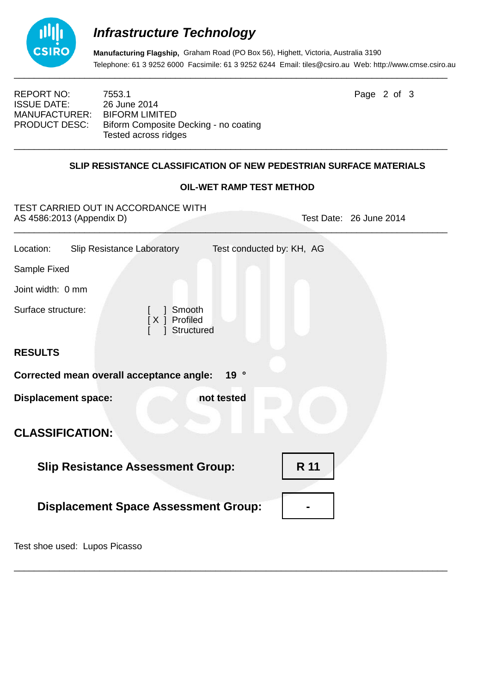

**Manufacturing Flagship,** Graham Road (PO Box 56), Highett, Victoria, Australia 3190 Telephone: 61 3 9252 6000 Facsimile: 61 3 9252 6244 Email: tiles@csiro.au Web: http://www.cmse.csiro.au

REPORT NO: 7553.1 **Page 2 of 3** ISSUE DATE: 26 June 2014<br>MANUFACTURER: BIFORM LIMITED MANUFACTURER: PRODUCT DESC: Biform Composite Decking - no coating Tested across ridges \_\_\_\_\_\_\_\_\_\_\_\_\_\_\_\_\_\_\_\_\_\_\_\_\_\_\_\_\_\_\_\_\_\_\_\_\_\_\_\_\_\_\_\_\_\_\_\_\_\_\_\_\_\_\_\_\_\_\_\_\_\_\_\_\_\_\_\_\_\_\_\_\_\_\_\_\_\_\_\_\_\_\_\_\_\_

### **SLIP RESISTANCE CLASSIFICATION OF NEW PEDESTRIAN SURFACE MATERIALS**

#### **OIL-WET RAMP TEST METHOD**

| TEST CARRIED OUT IN ACCORDANCE WITH<br>AS 4586:2013 (Appendix D) | Test Date: 26 June 2014   |  |  |  |
|------------------------------------------------------------------|---------------------------|--|--|--|
| Location:<br><b>Slip Resistance Laboratory</b>                   | Test conducted by: KH, AG |  |  |  |
| Sample Fixed                                                     |                           |  |  |  |
| Joint width: 0 mm                                                |                           |  |  |  |
| Surface structure:<br>Smooth<br>[X ] Profiled<br>Structured      |                           |  |  |  |
| <b>RESULTS</b>                                                   |                           |  |  |  |
| 19°<br>Corrected mean overall acceptance angle:                  |                           |  |  |  |
| <b>Displacement space:</b><br>not tested                         |                           |  |  |  |
| <b>CLASSIFICATION:</b>                                           |                           |  |  |  |
| <b>Slip Resistance Assessment Group:</b>                         | R 11                      |  |  |  |
| <b>Displacement Space Assessment Group:</b>                      |                           |  |  |  |

\_\_\_\_\_\_\_\_\_\_\_\_\_\_\_\_\_\_\_\_\_\_\_\_\_\_\_\_\_\_\_\_\_\_\_\_\_\_\_\_\_\_\_\_\_\_\_\_\_\_\_\_\_\_\_\_\_\_\_\_\_\_\_\_\_\_\_\_\_\_\_\_\_\_\_\_\_\_\_\_\_\_\_\_\_\_

Test shoe used: Lupos Picasso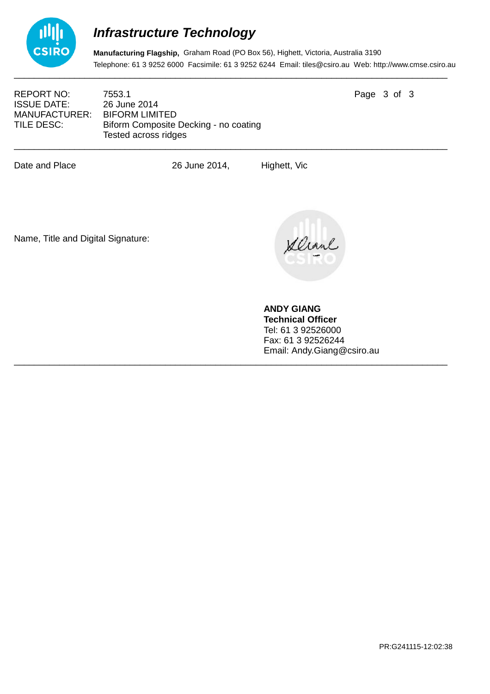

**Manufacturing Flagship,** Graham Road (PO Box 56), Highett, Victoria, Australia 3190 Telephone: 61 3 9252 6000 Facsimile: 61 3 9252 6244 Email: tiles@csiro.au Web: http://www.cmse.csiro.au

REPORT NO: 7553.1 **Page 3 of 3** ISSUE DATE: 26 June 2014<br>MANUFACTURER: BIFORM LIMITED MANUFACTURER:

TILE DESC: Biform Composite Decking - no coating Tested across ridges \_\_\_\_\_\_\_\_\_\_\_\_\_\_\_\_\_\_\_\_\_\_\_\_\_\_\_\_\_\_\_\_\_\_\_\_\_\_\_\_\_\_\_\_\_\_\_\_\_\_\_\_\_\_\_\_\_\_\_\_\_\_\_\_\_\_\_\_\_\_\_\_\_\_\_\_\_\_\_\_\_\_\_\_\_\_

Date and Place 26 June 2014, Highett, Vic

\_\_\_\_\_\_\_\_\_\_\_\_\_\_\_\_\_\_\_\_\_\_\_\_\_\_\_\_\_\_\_\_\_\_\_\_\_\_\_\_\_\_\_\_\_\_\_\_\_\_\_\_\_\_\_\_\_\_\_\_\_\_\_\_\_\_\_\_\_\_\_\_\_\_\_\_\_\_\_\_\_\_\_\_\_\_

Name, Title and Digital Signature:

Devant

**ANDY GIANG Technical Officer** Tel: 61 3 92526000 Fax: 61 3 92526244 Email: Andy.Giang@csiro.au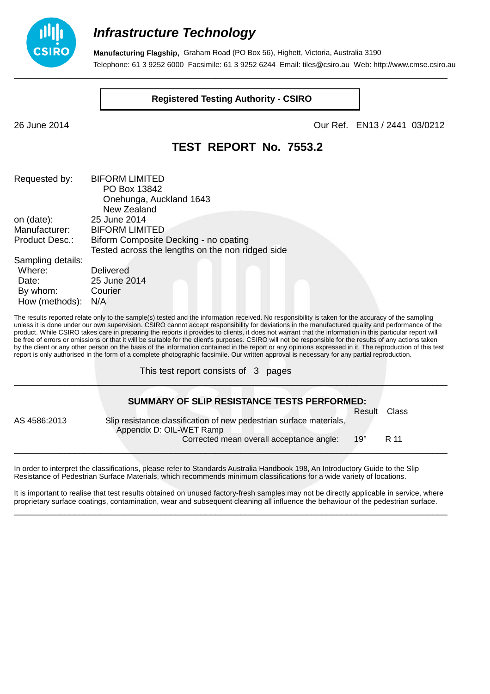

**Manufacturing Flagship,** Graham Road (PO Box 56), Highett, Victoria, Australia 3190 Telephone: 61 3 9252 6000 Facsimile: 61 3 9252 6244 Email: tiles@csiro.au Web: http://www.cmse.csiro.au \_\_\_\_\_\_\_\_\_\_\_\_\_\_\_\_\_\_\_\_\_\_\_\_\_\_\_\_\_\_\_\_\_\_\_\_\_\_\_\_\_\_\_\_\_\_\_\_\_\_\_\_\_\_\_\_\_\_\_\_\_\_\_\_\_\_\_\_\_\_\_\_\_\_\_\_\_\_\_\_\_\_\_\_\_\_

**Registered Testing Authority - CSIRO**

26 June 2014 Our Ref. EN13 / 2441 03/0212

### **TEST REPORT No. 7553.2**

| Requested by:         | <b>BIFORM LIMITED</b>                            |  |
|-----------------------|--------------------------------------------------|--|
|                       | PO Box 13842                                     |  |
|                       | Onehunga, Auckland 1643                          |  |
|                       | New Zealand                                      |  |
| on (date):            | 25 June 2014                                     |  |
| Manufacturer:         | <b>BIFORM LIMITED</b>                            |  |
| <b>Product Desc.:</b> | Biform Composite Decking - no coating            |  |
|                       | Tested across the lengths on the non ridged side |  |
| Sampling details:     |                                                  |  |
| Where:                | <b>Delivered</b>                                 |  |
| Date:                 | 25 June 2014                                     |  |
| By whom:              | Courier                                          |  |
| How (methods):        | N/A                                              |  |

The results reported relate only to the sample(s) tested and the information received. No responsibility is taken for the accuracy of the sampling unless it is done under our own supervision. CSIRO cannot accept responsibility for deviations in the manufactured quality and performance of the product. While CSIRO takes care in preparing the reports it provides to clients, it does not warrant that the information in this particular report will be free of errors or omissions or that it will be suitable for the client's purposes. CSIRO will not be responsible for the results of any actions taken by the client or any other person on the basis of the information contained in the report or any opinions expressed in it. The reproduction of this test report is only authorised in the form of a complete photographic facsimile. Our written approval is necessary for any partial reproduction.

This test report consists of 3 pages

|              | SUMMARY OF SLIP RESISTANCE TESTS PERFORMED:                                                     |            |       |
|--------------|-------------------------------------------------------------------------------------------------|------------|-------|
|              |                                                                                                 | Result     | Class |
| AS 4586:2013 | Slip resistance classification of new pedestrian surface materials,<br>Appendix D: OIL-WET Ramp |            |       |
|              | Corrected mean overall acceptance angle:                                                        | $19^\circ$ | R 11  |
|              |                                                                                                 |            |       |

\_\_\_\_\_\_\_\_\_\_\_\_\_\_\_\_\_\_\_\_\_\_\_\_\_\_\_\_\_\_\_\_\_\_\_\_\_\_\_\_\_\_\_\_\_\_\_\_\_\_\_\_\_\_\_\_\_\_\_\_\_\_\_\_\_\_\_\_\_\_\_\_\_\_\_\_\_\_\_\_\_\_\_\_\_\_

In order to interpret the classifications, please refer to Standards Australia Handbook 198, An Introductory Guide to the Slip Resistance of Pedestrian Surface Materials, which recommends minimum classifications for a wide variety of locations.

It is important to realise that test results obtained on unused factory-fresh samples may not be directly applicable in service, where proprietary surface coatings, contamination, wear and subsequent cleaning all influence the behaviour of the pedestrian surface. \_\_\_\_\_\_\_\_\_\_\_\_\_\_\_\_\_\_\_\_\_\_\_\_\_\_\_\_\_\_\_\_\_\_\_\_\_\_\_\_\_\_\_\_\_\_\_\_\_\_\_\_\_\_\_\_\_\_\_\_\_\_\_\_\_\_\_\_\_\_\_\_\_\_\_\_\_\_\_\_\_\_\_\_\_\_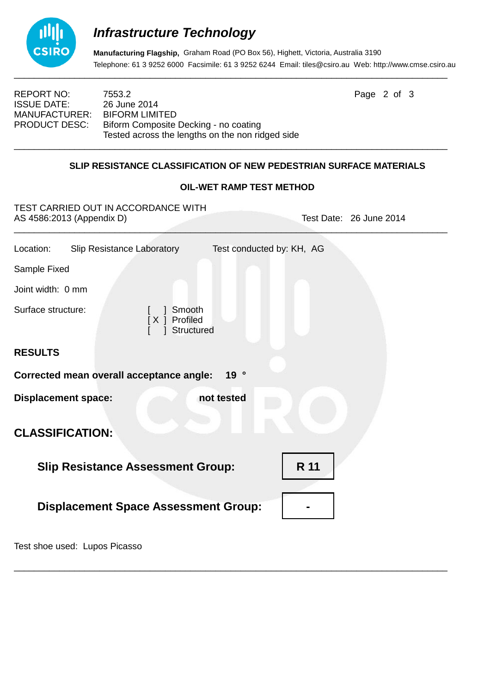

**Manufacturing Flagship,** Graham Road (PO Box 56), Highett, Victoria, Australia 3190 Telephone: 61 3 9252 6000 Facsimile: 61 3 9252 6244 Email: tiles@csiro.au Web: http://www.cmse.csiro.au

ISSUE DATE: 26 June 2014<br>MANUFACTURER: BIFORM LIMITED MANUFACTURER:

REPORT NO: 7553.2 **Page 2 of 3** PRODUCT DESC: Biform Composite Decking - no coating Tested across the lengths on the non ridged side \_\_\_\_\_\_\_\_\_\_\_\_\_\_\_\_\_\_\_\_\_\_\_\_\_\_\_\_\_\_\_\_\_\_\_\_\_\_\_\_\_\_\_\_\_\_\_\_\_\_\_\_\_\_\_\_\_\_\_\_\_\_\_\_\_\_\_\_\_\_\_\_\_\_\_\_\_\_\_\_\_\_\_\_\_\_

### **SLIP RESISTANCE CLASSIFICATION OF NEW PEDESTRIAN SURFACE MATERIALS**

### **OIL-WET RAMP TEST METHOD**

| TEST CARRIED OUT IN ACCORDANCE WITH<br>AS 4586:2013 (Appendix D) | Test Date: 26 June 2014   |  |
|------------------------------------------------------------------|---------------------------|--|
| Location:<br><b>Slip Resistance Laboratory</b>                   | Test conducted by: KH, AG |  |
| Sample Fixed                                                     |                           |  |
| Joint width: 0 mm                                                |                           |  |
| Surface structure:<br>Smooth<br>[X ] Profiled<br>Structured      |                           |  |
| <b>RESULTS</b>                                                   |                           |  |
| Corrected mean overall acceptance angle:<br>19°                  |                           |  |
| <b>Displacement space:</b><br>not tested                         |                           |  |
| <b>CLASSIFICATION:</b>                                           |                           |  |
| <b>Slip Resistance Assessment Group:</b>                         | R 11                      |  |
| <b>Displacement Space Assessment Group:</b>                      |                           |  |

\_\_\_\_\_\_\_\_\_\_\_\_\_\_\_\_\_\_\_\_\_\_\_\_\_\_\_\_\_\_\_\_\_\_\_\_\_\_\_\_\_\_\_\_\_\_\_\_\_\_\_\_\_\_\_\_\_\_\_\_\_\_\_\_\_\_\_\_\_\_\_\_\_\_\_\_\_\_\_\_\_\_\_\_\_\_

Test shoe used: Lupos Picasso